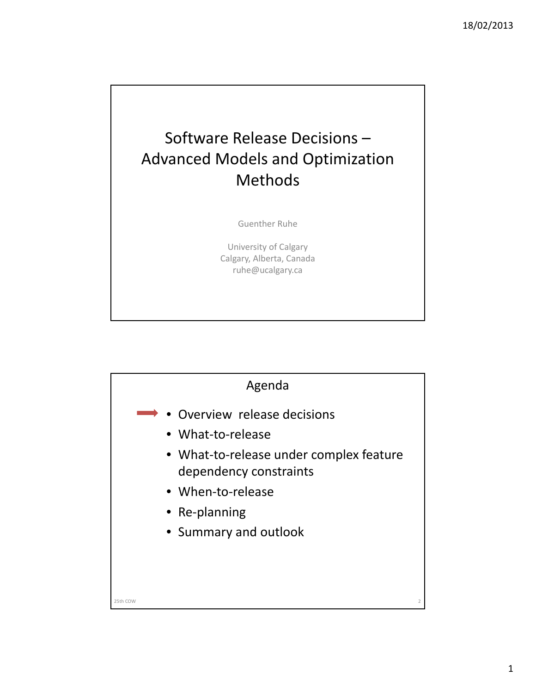## Software Release Decisions – Advanced Models and Optimization Methods

Guenther Ruhe

University of Calgary Calgary, Alberta, Canada ruhe@ucalgary.ca

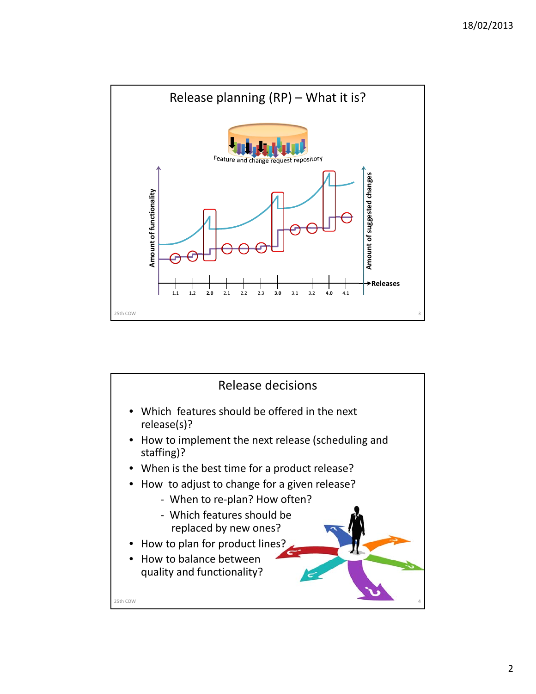

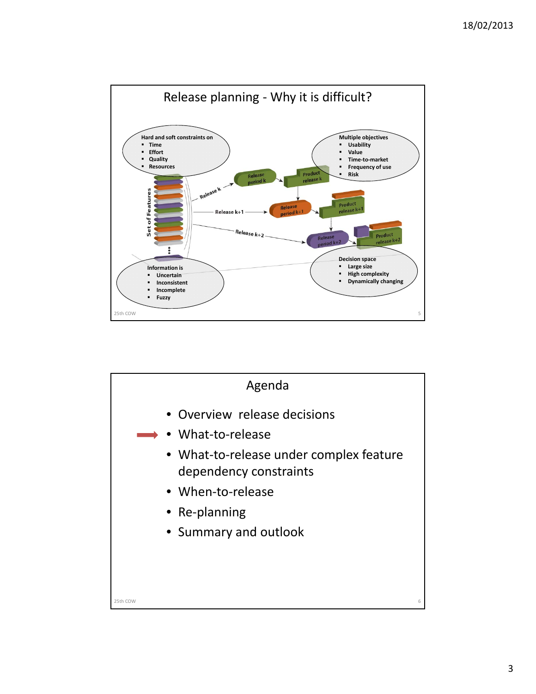

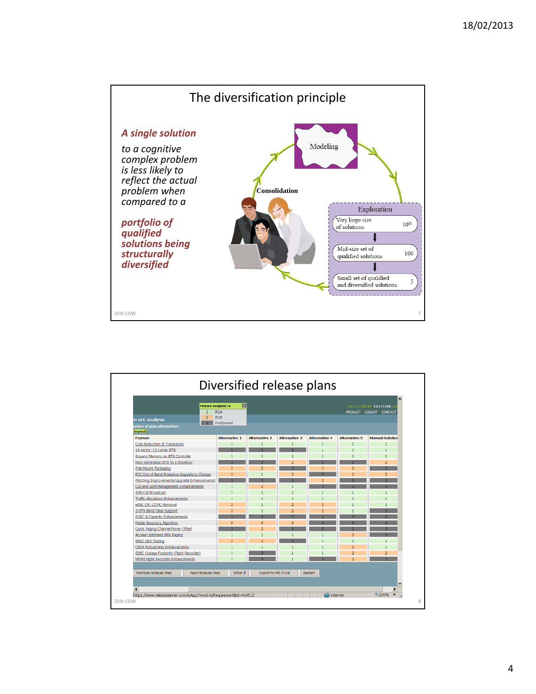

| <b>Feature Assigned To</b><br>R <sub>14</sub><br><b>R15</b><br>$\overline{2}$<br>n set analysis<br>Postponed<br>$\overline{3}$<br>ucture of plan alternatives<br>legend] | 図<br>INTELLIGENT DECISION S<br>PRODUCT LOGOUT CONTACT |                           |                         |                      |                      |                        |
|--------------------------------------------------------------------------------------------------------------------------------------------------------------------------|-------------------------------------------------------|---------------------------|-------------------------|----------------------|----------------------|------------------------|
| <b>Feature</b>                                                                                                                                                           | <b>Alternative 1</b>                                  | <b>Alternative 2</b>      | <b>Alternative 3</b>    | <b>Alternative 4</b> | <b>Alternative 5</b> | <b>Manual Solution</b> |
| Cost Reduction of Transceiver                                                                                                                                            | $\mathbf{1}$                                          | $\mathbf{1}$              | $\mathbf{1}$            | п                    | ٦                    | $\mathbf{1}$           |
| 16 sector, 12 carrier BTS                                                                                                                                                |                                                       |                           | $\overline{\mathbf{z}}$ |                      |                      |                        |
| <b>Expand Memory on BTS Controler</b>                                                                                                                                    |                                                       | $\mathbf{1}$              | $\mathbf{1}$            |                      |                      | $\mathbf{1}$           |
| Next Generation BTS 'In a Shoebox'                                                                                                                                       |                                                       | R.                        | $\overline{a}$          | R.                   | R.                   | $\overline{a}$         |
| Pole Mount Packaging                                                                                                                                                     | $\overline{2}$                                        | $\overline{2}$            | ٠                       | $\overline{2}$       | $\overline{2}$       | $\overline{a}$         |
| FCC Out of Band Emissions Regulatory Change                                                                                                                              | $\overline{2}$                                        | $\mathbf{1}$              | $\overline{a}$          | R                    | $\overline{2}$       | $\overline{2}$         |
| Patching Improvements/Upgrade Enhancementst                                                                                                                              |                                                       |                           |                         | $\overline{2}$       |                      |                        |
| CIU and SRM Management Enhancements                                                                                                                                      | <sub>1</sub>                                          | $\overline{2}$            |                         |                      |                      |                        |
| SMS Cel Broadcast                                                                                                                                                        |                                                       | $\mathbf{1}$              |                         | T.                   | ٦                    | ı                      |
| <b>Traffic Alocations Enhancements</b>                                                                                                                                   |                                                       |                           |                         | ٦                    |                      |                        |
| eBSC CR: CCMC Removal                                                                                                                                                    | $\overline{2}$                                        |                           | $\overline{2}$          | $\overline{2}$       |                      |                        |
| 3 of N Band Class Support                                                                                                                                                | $\overline{2}$                                        | 1                         | $\overline{2}$          | $\overline{2}$       |                      |                        |
| <b>EVRC B Capacity Enhancements</b>                                                                                                                                      |                                                       |                           |                         |                      |                      |                        |
| Mobile Recovery Algorithm                                                                                                                                                | $\overline{2}$                                        | $\overline{a}$            | $\overline{2}$          |                      |                      |                        |
| Quick Paging Channel Power Offset                                                                                                                                        |                                                       | $\overline{2}$            |                         |                      |                      |                        |
| <b>Access Optimized IMSI Paging</b>                                                                                                                                      |                                                       | T.                        |                         |                      | $\overline{2}$       |                        |
| <b>EBSC REX Testing</b>                                                                                                                                                  | $\overline{2}$                                        | $\overline{2}$            |                         |                      | ٦                    | $\mathbf{1}$           |
| <b>CSVS Robustness Enhancements</b>                                                                                                                                      |                                                       |                           |                         |                      | $\overline{a}$       |                        |
| EBSC Outage Footprint (Flight Recorder)                                                                                                                                  |                                                       |                           |                         |                      | $\overline{z}$       | $\overline{2}$         |
| <b>MFRM Fight Recorder Enhancements</b>                                                                                                                                  |                                                       |                           |                         |                      | $\overline{2}$       | $\overline{a}$         |
| Next Analysis Step<br>Previous Analysis Step<br>$\blacktriangleleft$                                                                                                     | What If                                               | <b>Export to MS Excel</b> |                         | <b>Restart</b>       |                      |                        |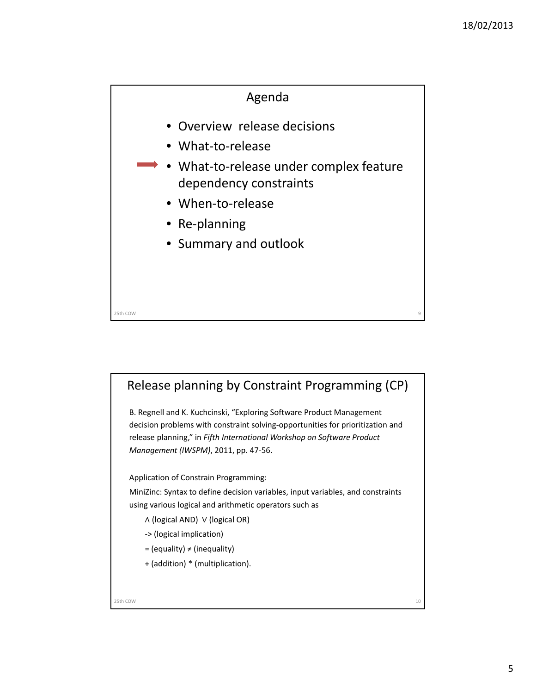

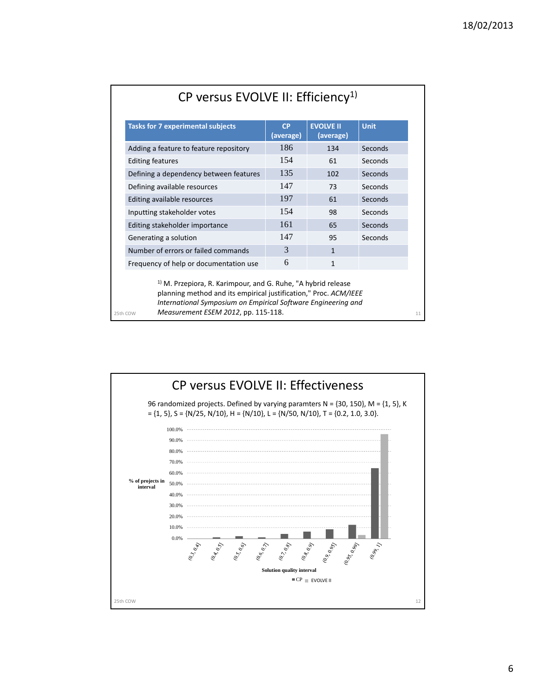| <b>Tasks for 7 experimental subjects</b>                                                                                                                                                                      | <b>CP</b><br>(average) | <b>EVOLVE II</b><br>(average) | <b>Unit</b> |
|---------------------------------------------------------------------------------------------------------------------------------------------------------------------------------------------------------------|------------------------|-------------------------------|-------------|
| Adding a feature to feature repository                                                                                                                                                                        | 186                    | 134                           | Seconds     |
| <b>Editing features</b>                                                                                                                                                                                       | 154                    | 61                            | Seconds     |
| Defining a dependency between features                                                                                                                                                                        | 135                    | 102                           | Seconds     |
| Defining available resources                                                                                                                                                                                  | 147                    | 73                            | Seconds     |
| Editing available resources                                                                                                                                                                                   | 197                    | 61                            | Seconds     |
| Inputting stakeholder votes                                                                                                                                                                                   | 154                    | 98                            | Seconds     |
| Editing stakeholder importance                                                                                                                                                                                | 161                    | 65                            | Seconds     |
| Generating a solution                                                                                                                                                                                         | 147                    | 95                            | Seconds     |
| Number of errors or failed commands                                                                                                                                                                           | 3                      | $\mathbf{1}$                  |             |
| Frequency of help or documentation use                                                                                                                                                                        | 6                      | $\mathbf{1}$                  |             |
| <sup>1)</sup> M. Przepiora, R. Karimpour, and G. Ruhe, "A hybrid release<br>planning method and its empirical justification," Proc. ACM/IEEE<br>International Symposium on Empirical Software Engineering and |                        |                               |             |

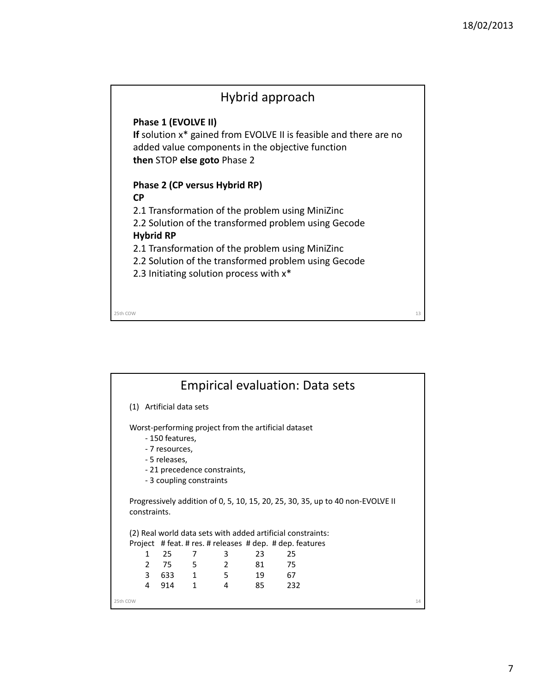

|              |   |                                                    |                                                          |                                                      |      | <b>Empirical evaluation: Data sets</b>                                         |    |
|--------------|---|----------------------------------------------------|----------------------------------------------------------|------------------------------------------------------|------|--------------------------------------------------------------------------------|----|
|              |   | (1) Artificial data sets                           |                                                          |                                                      |      |                                                                                |    |
|              |   | - 150 features,<br>- 7 resources,<br>- 5 releases, | - 21 precedence constraints,<br>- 3 coupling constraints | Worst-performing project from the artificial dataset |      |                                                                                |    |
| constraints. |   |                                                    |                                                          |                                                      |      | Progressively addition of 0, 5, 10, 15, 20, 25, 30, 35, up to 40 non-EVOLVE II |    |
|              |   |                                                    |                                                          |                                                      |      | (2) Real world data sets with added artificial constraints:                    |    |
|              |   |                                                    |                                                          |                                                      |      | Project # feat. # res. # releases # dep. # dep. features                       |    |
|              | 1 | 25                                                 | 7                                                        | 3                                                    | 23   | 25                                                                             |    |
|              |   | 2 75                                               | 5<br>$\overline{\phantom{a}}$                            |                                                      | 81 — | 75                                                                             |    |
|              |   | 3 633 1                                            |                                                          | 5                                                    | 19   | 67                                                                             |    |
|              | 4 | 914                                                | $\mathbf{1}$                                             | 4                                                    | 85   | 232                                                                            |    |
| 25th COW     |   |                                                    |                                                          |                                                      |      |                                                                                | 14 |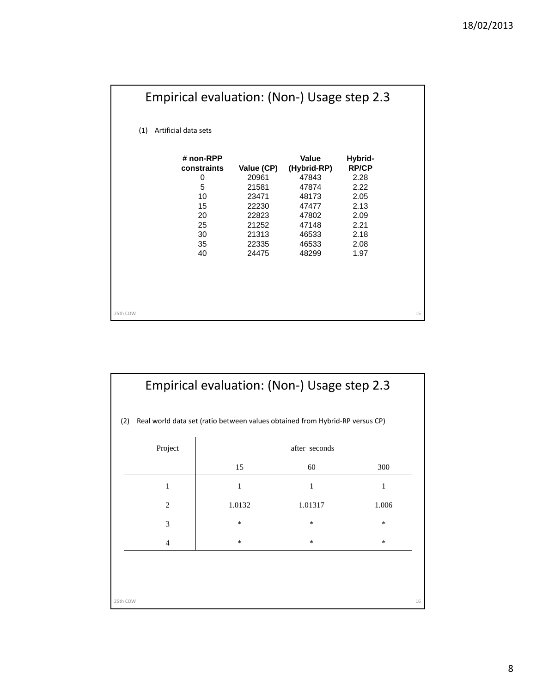|                             |                          |                | Empirical evaluation: (Non-) Usage step 2.3 |                         |    |
|-----------------------------|--------------------------|----------------|---------------------------------------------|-------------------------|----|
| (1)<br>Artificial data sets |                          |                |                                             |                         |    |
|                             | # non-RPP<br>constraints | Value (CP)     | Value<br>(Hybrid-RP)                        | Hybrid-<br><b>RP/CP</b> |    |
|                             | 0<br>5                   | 20961<br>21581 | 47843<br>47874                              | 2.28<br>2.22            |    |
|                             | 10                       | 23471          | 48173                                       | 2.05                    |    |
|                             | 15                       | 22230          | 47477                                       | 2.13                    |    |
|                             | 20                       | 22823          | 47802                                       | 2.09                    |    |
|                             | 25                       | 21252          | 47148                                       | 2.21                    |    |
|                             | 30                       | 21313          | 46533                                       | 2.18                    |    |
|                             | 35                       | 22335          | 46533                                       | 2.08                    |    |
|                             | 40                       | 24475          | 48299                                       | 1.97                    |    |
|                             |                          |                |                                             |                         |    |
|                             |                          |                |                                             |                         |    |
|                             |                          |                |                                             |                         |    |
|                             |                          |                |                                             |                         |    |
|                             |                          |                |                                             |                         |    |
| 25th COW                    |                          |                |                                             |                         | 15 |

| Real world data set (ratio between values obtained from Hybrid-RP versus CP) |        |                     |        |  |
|------------------------------------------------------------------------------|--------|---------------------|--------|--|
| Project                                                                      | 15     | after seconds<br>60 | 300    |  |
| 1                                                                            | 1      | 1                   | 1      |  |
| 2                                                                            | 1.0132 | 1.01317             | 1.006  |  |
| 3                                                                            | *      | $\ast$              | $\ast$ |  |
| 4                                                                            | *      | ∗                   | *      |  |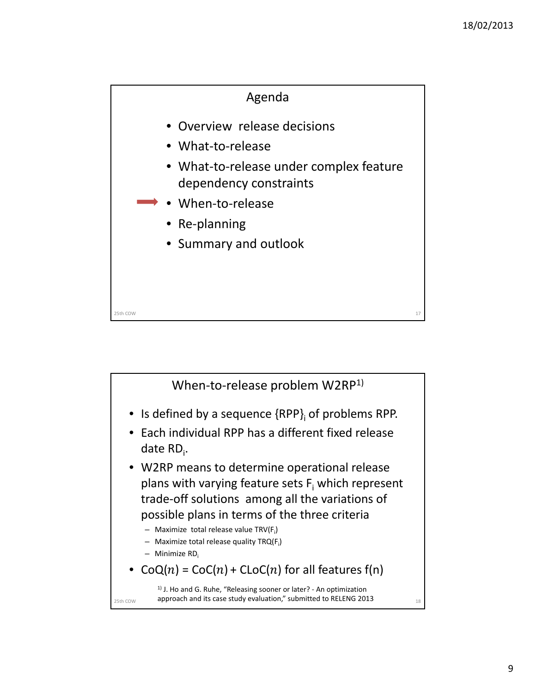

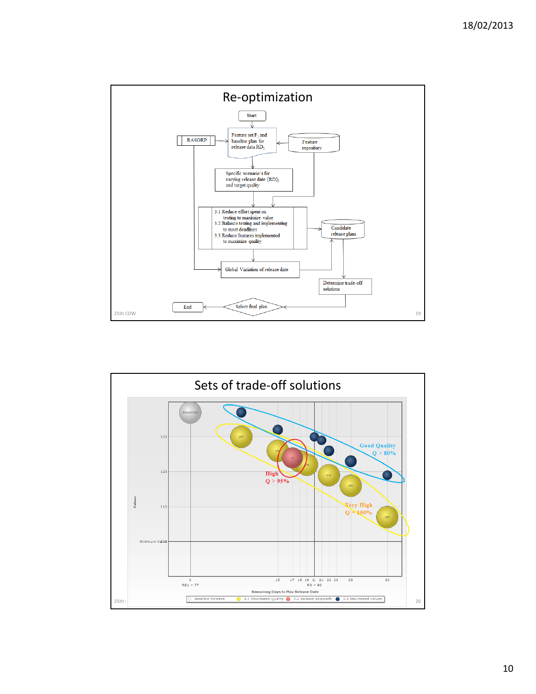

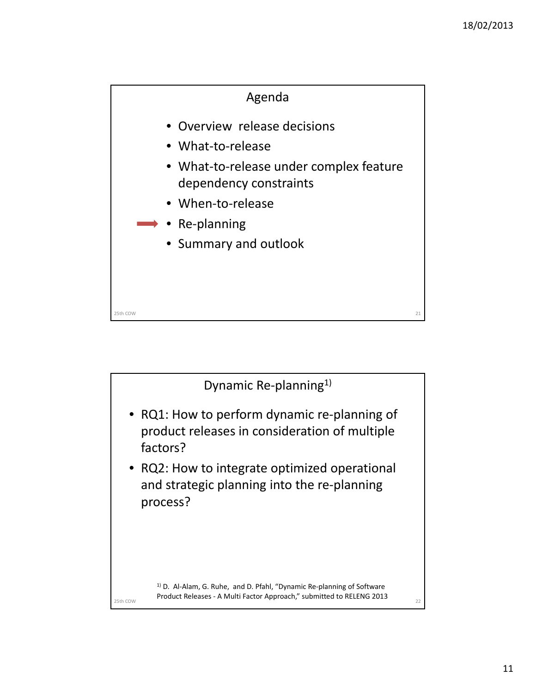

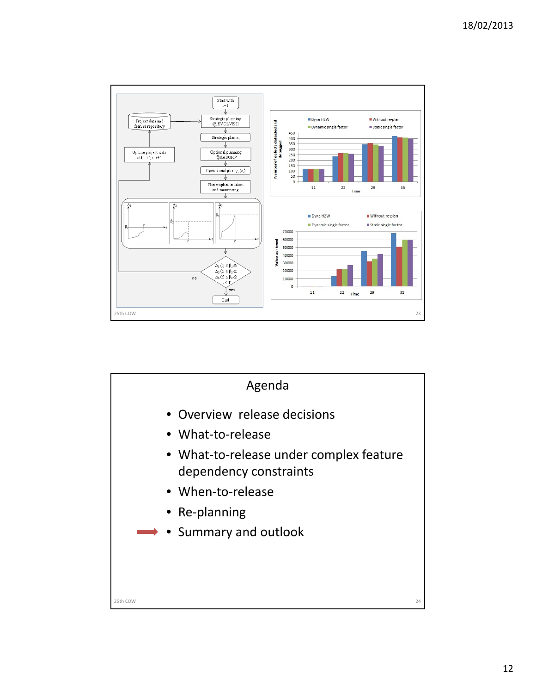